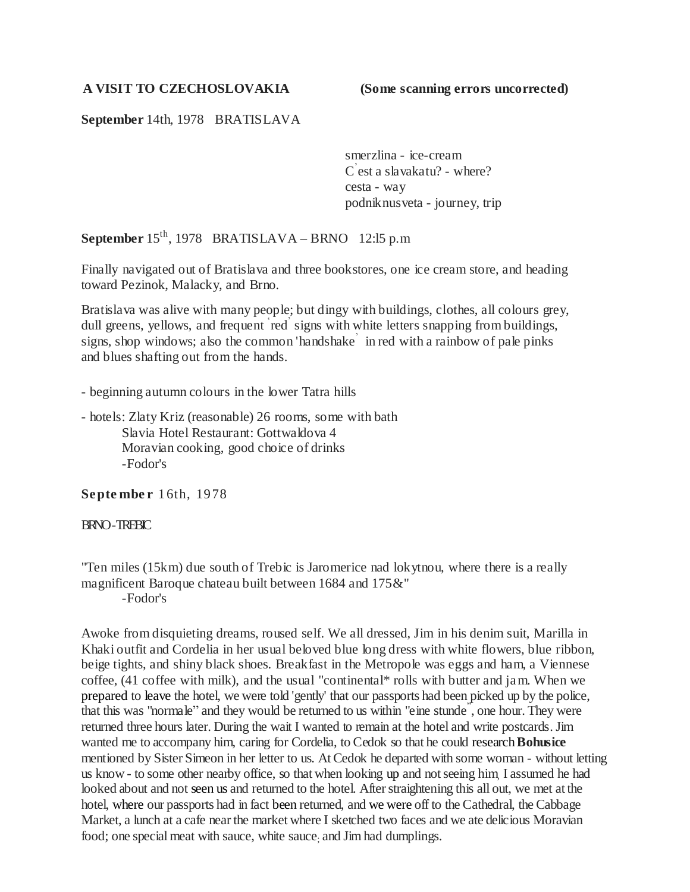#### **A VISIT TO CZECHOSLOVAKIA (Some scanning errors uncorrected)**

### **September** 14th, 1978 BRATISLAVA

smerzlina - ice-cream C ' est a slavakatu? - where? cesta - way podniknusveta - journey, trip

**September** 15th, 1978 BRATISLAVA – BRNO 12:l5 p.m

Finally navigated out of Bratislava and three bookstores, one ice cream store, and heading toward Pezinok, Malacky, and Brno.

Bratislava was alive with many people; but dingy with buildings, clothes, all colours grey, dull greens, yellows, and frequent red signs with white letters snapping from buildings, signs, shop windows; also the common 'handshake' in red with a rainbow of pale pinks and blues shafting out from the hands.

- beginning autumn colours in the lower Tatra hills

- hotels: Zlaty Kriz (reasonable) 26 rooms, some with bath Slavia Hotel Restaurant: Gottwaldova 4 Moravian cooking, good choice of drinks -Fodor's

**Septe mbe r** 16th, 1978

#### BRNO -TREBIC

"Ten miles (15km) due south of Trebic is Jaromerice nad lokytnou, where there is a really magnificent Baroque chateau built between 1684 and 175&" -Fodor's

Awoke from disquieting dreams, roused self. We all dressed, Jim in his denim suit, Marilla in Khaki outfit and Cordelia in her usual beloved blue long dress with white flowers, blue ribbon, beige tights, and shiny black shoes. Breakfast in the Metropole was eggs and ham, a Viennese coffee, (41 coffee with milk), and the usual "continental\* rolls with butter and jam. When we prepared to leave the hotel, we were told 'gently' that our passports had been picked up by the police, that this was "normale" and they would be returned to us within "eine stunde", one hour. They were returned three hours later. During the wait I wanted to remain at the hotel and write postcards. Jim wanted me to accompany him, caring for Cordelia, to Cedok so that he could research **Bohusice** mentioned by Sister Simeon in her letter to us. At Cedok he departed with some woman - without letting us know - to some other nearby office, so that when looking up and not seeing him, I assumed he had looked about and not seen us and returned to the hotel. After straightening this all out, we met at the hotel, where our passports had in fact been returned, and we were off to the Cathedral, the Cabbage Market, a lunch at a cafe near the market where I sketched two faces and we ate delicious Moravian food; one special meat with sauce, white sauce; and Jim had dumplings.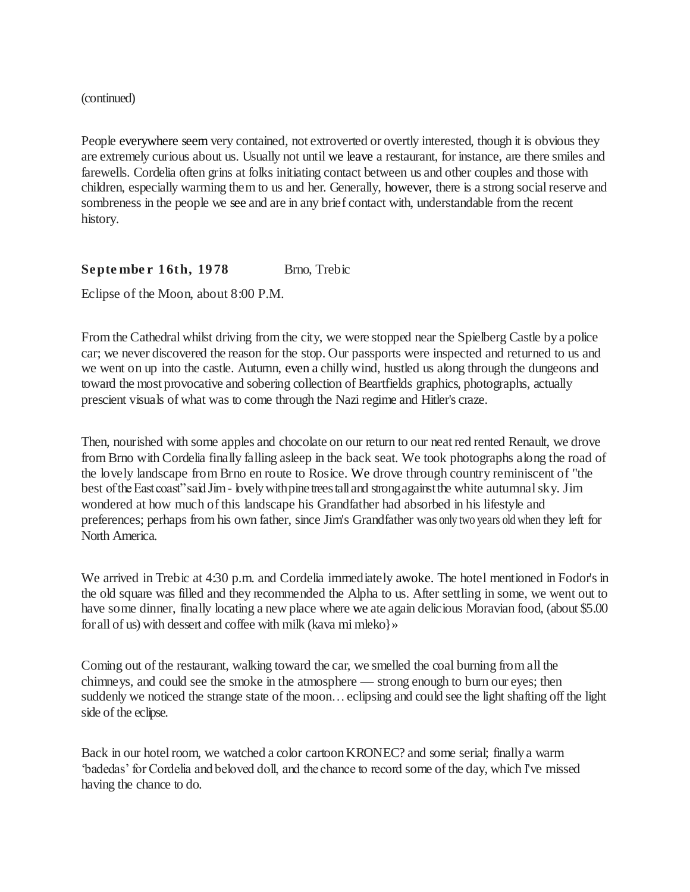#### (continued)

People everywhere seem very contained, not extroverted or overtly interested, though it is obvious they are extremely curious about us. Usually not until we leave a restaurant, for instance, are there smiles and farewells. Cordelia often grins at folks initiating contact between us and other couples and those with children, especially warming them to us and her. Generally, however, there is a strong social reserve and sombreness in the people we see and are in any brief contact with, understandable from the recent history.

September 16th, 1978 Brno, Trebic

Eclipse of the Moon, about 8:00 P.M.

From the Cathedral whilst driving from the city, we were stopped near the Spielberg Castle by a police car; we never discovered the reason for the stop. Our passports were inspected and returned to us and we went on up into the castle. Autumn, even a chilly wind, hustled us along through the dungeons and toward the most provocative and sobering collection of Beartfields graphics, photographs, actually prescient visuals of what was to come through the Nazi regime and Hitler's craze.

Then, nourished with some apples and chocolate on our return to our neat red rented Renault, we drove from Brno with Cordelia finally falling asleep in the back seat. We took photographs along the road of the lovely landscape from Brno en route to Rosice. We drove through country reminiscent of "the best of the East coast" said Jim - lovely with pine trees tall and strong against the white autumnal sky. Jim wondered at how much of this landscape his Grandfather had absorbed in his lifestyle and preferences; perhaps from his own father, since Jim's Grandfather was only two years old when they left for North America.

We arrived in Trebic at 4:30 p.m. and Cordelia immediately awoke. The hotel mentioned in Fodor's in the old square was filled and they recommended the Alpha to us. After settling in some, we went out to have some dinner, finally locating a new place where we ate again delicious Moravian food, (about \$5.00 for all of us) with dessert and coffee with milk (kava mi mleko}»

Coming out of the restaurant, walking toward the car, we smelled the coal burning from all the chimneys, and could see the smoke in the atmosphere — strong enough to burn our eyes; then suddenly we noticed the strange state of the moon…eclipsing and could see the light shafting off the light side of the eclipse.

Back in our hotel room, we watched a color cartoon KRONEC? and some serial; finally a warm ‗badedas' for Cordelia and beloved doll, and the chance to record some of the day, which I've missed having the chance to do.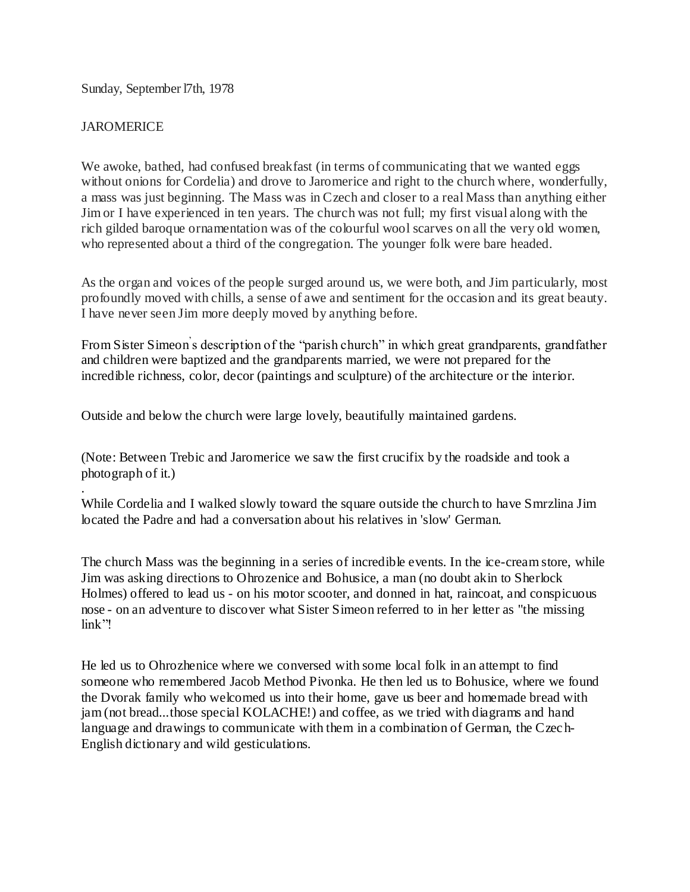Sunday, September l7th, 1978

## **JAROMERICE**

.

We awoke, bathed, had confused breakfast (in terms of communicating that we wanted eggs without onions for Cordelia) and drove to Jaromerice and right to the church where, wonderfully, a mass was just beginning. The Mass was in Czech and closer to a real Mass than anything either Jim or I have experienced in ten years. The church was not full; my first visual along with the rich gilded baroque ornamentation was of the colourful wool scarves on all the very old women, who represented about a third of the congregation. The younger folk were bare headed.

As the organ and voices of the people surged around us, we were both, and Jim particularly, most profoundly moved with chills, a sense of awe and sentiment for the occasion and its great beauty. I have never seen Jim more deeply moved by anything before.

From Sister Simeon's description of the "parish church" in which great grandparents, grandfather and children were baptized and the grandparents married, we were not prepared for the incredible richness, color, decor (paintings and sculpture) of the architecture or the interior.

Outside and below the church were large lovely, beautifully maintained gardens.

(Note: Between Trebic and Jaromerice we saw the first crucifix by the roadside and took a photograph of it.)

While Cordelia and I walked slowly toward the square outside the church to have Smrzlina Jim located the Padre and had a conversation about his relatives in 'slow' German.

The church Mass was the beginning in a series of incredible events. In the ice-cream store, while Jim was asking directions to Ohrozenice and Bohusice, a man (no doubt akin to Sherlock Holmes) offered to lead us - on his motor scooter, and donned in hat, raincoat, and conspicuous nose - on an adventure to discover what Sister Simeon referred to in her letter as "the missing  $\lim k$ "!

He led us to Ohrozhenice where we conversed with some local folk in an attempt to find someone who remembered Jacob Method Pivonka. He then led us to Bohusice, where we found the Dvorak family who welcomed us into their home, gave us beer and homemade bread with jam (not bread...those special KOLACHE!) and coffee, as we tried with diagrams and hand language and drawings to communicate with them in a combination of German, the Czec h-English dictionary and wild gesticulations.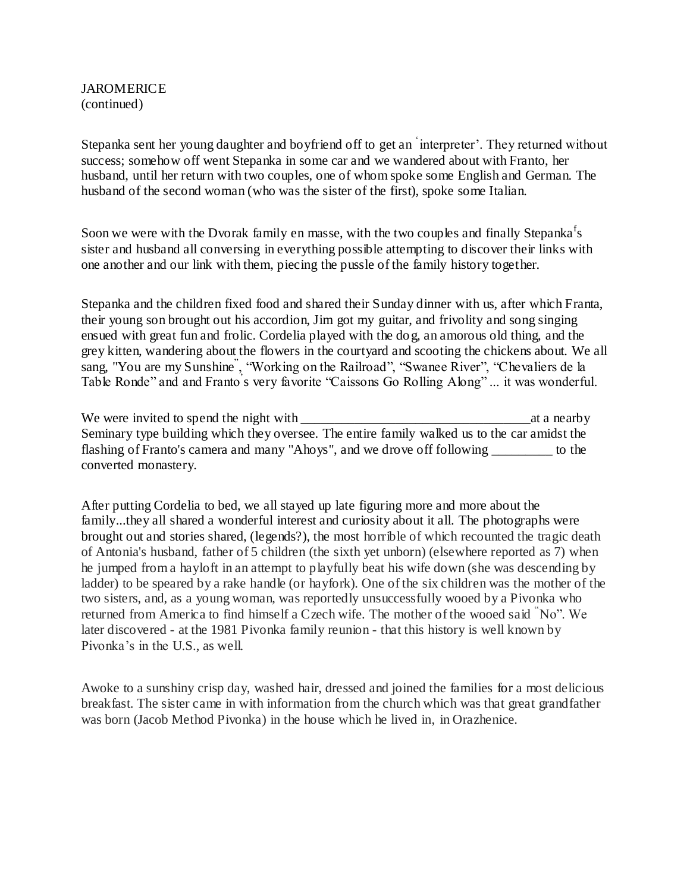## JAROMERICE (continued)

Stepanka sent her young daughter and boyfriend off to get an ‗ interpreter'. They returned without success; somehow off went Stepanka in some car and we wandered about with Franto, her husband, until her return with two couples, one of whom spoke some English and German. The husband of the second woman (who was the sister of the first), spoke some Italian.

Soon we were with the Dvorak family en masse, with the two couples and finally Stepanka<sup>f</sup>s sister and husband all conversing in everything possible attempting to discover their links with one another and our link with them, piecing the pussle of the family history together.

Stepanka and the children fixed food and shared their Sunday dinner with us, after which Franta, their young son brought out his accordion, Jim got my guitar, and frivolity and song singing ensued with great fun and frolic. Cordelia played with the dog, an amorous old thing, and the grey kitten, wandering about the flowers in the courtyard and scooting the chickens about. We all sang, "You are my Sunshine<sup>"</sup>, "Working on the Railroad", "Swanee River", "Chevaliers de la Table Ronde" and and Franto's very favorite "Caissons Go Rolling Along"... it was wonderful.

We were invited to spend the night with the set of the night with at a nearby at a nearby Seminary type building which they oversee. The entire family walked us to the car amidst the flashing of Franto's camera and many "Ahoys", and we drove off following \_\_\_\_\_\_\_\_\_ to the converted monastery.

After putting Cordelia to bed, we all stayed up late figuring more and more about the family...they all shared a wonderful interest and curiosity about it all. The photographs were brought out and stories shared, (legends?), the most horrible of which recounted the tragic death of Antonia's husband, father of 5 children (the sixth yet unborn) (elsewhere reported as 7) when he jumped from a hayloft in an attempt to playfully beat his wife down (she was descending by ladder) to be speared by a rake handle (or hayfork). One of the six children was the mother of the two sisters, and, as a young woman, was reportedly unsuccessfully wooed by a Pivonka who returned from America to find himself a Czech wife. The mother of the wooed said  $N^{\circ}$ . We later discovered - at the 1981 Pivonka family reunion - that this history is well known by Pivonka's in the U.S., as well.

Awoke to a sunshiny crisp day, washed hair, dressed and joined the families for a most delicious breakfast. The sister came in with information from the church which was that great grandfather was born (Jacob Method Pivonka) in the house which he lived in, in Orazhenice.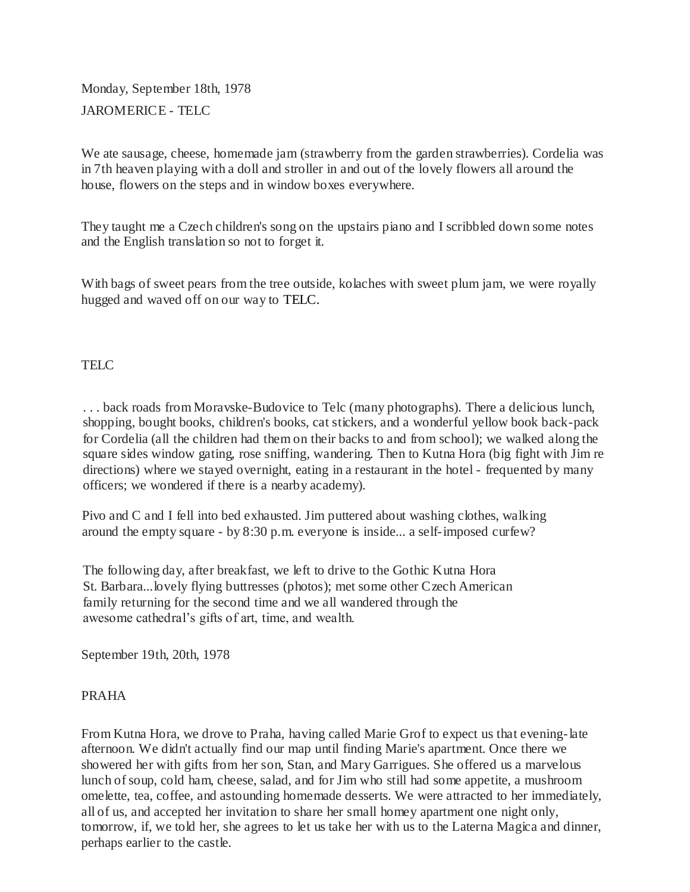Monday, September 18th, 1978 JAROMERICE - TELC

We ate sausage, cheese, homemade jam (strawberry from the garden strawberries). Cordelia was in 7th heaven playing with a doll and stroller in and out of the lovely flowers all around the house, flowers on the steps and in window boxes everywhere.

They taught me a Czech children's song on the upstairs piano and I scribbled down some notes and the English translation so not to forget it.

With bags of sweet pears from the tree outside, kolaches with sweet plum jam, we were royally hugged and waved off on our way to TELC.

# TEL<sub>C</sub>

. . . back roads from Moravske-Budovice to Telc (many photographs). There a delicious lunch, shopping, bought books, children's books, cat stickers, and a wonderful yellow book back-pack for Cordelia (all the children had them on their backs to and from school); we walked along the square sides window gating, rose sniffing, wandering. Then to Kutna Hora (big fight with Jim re directions) where we stayed overnight, eating in a restaurant in the hotel - frequented by many officers; we wondered if there is a nearby academy).

Pivo and C and I fell into bed exhausted. Jim puttered about washing clothes, walking around the empty square - by 8:30 p.m. everyone is inside... a self-imposed curfew?

The following day, after breakfast, we left to drive to the Gothic Kutna Hora St. Barbara...lovely flying buttresses (photos); met some other Czech American family returning for the second time and we all wandered through the awesome cathedral's gifts of art, time, and wealth.

September 19th, 20th, 1978

# PRAHA

From Kutna Hora, we drove to Praha, having called Marie Grof to expect us that evening-late afternoon. We didn't actually find our map until finding Marie's apartment. Once there we showered her with gifts from her son, Stan, and Mary Garrigues. She offered us a marvelous lunch of soup, cold ham, cheese, salad, and for Jim who still had some appetite, a mushroom omelette, tea, coffee, and astounding homemade desserts. We were attracted to her immediately, all of us, and accepted her invitation to share her small homey apartment one night only, tomorrow, if, we told her, she agrees to let us take her with us to the Laterna Magica and dinner, perhaps earlier to the castle.